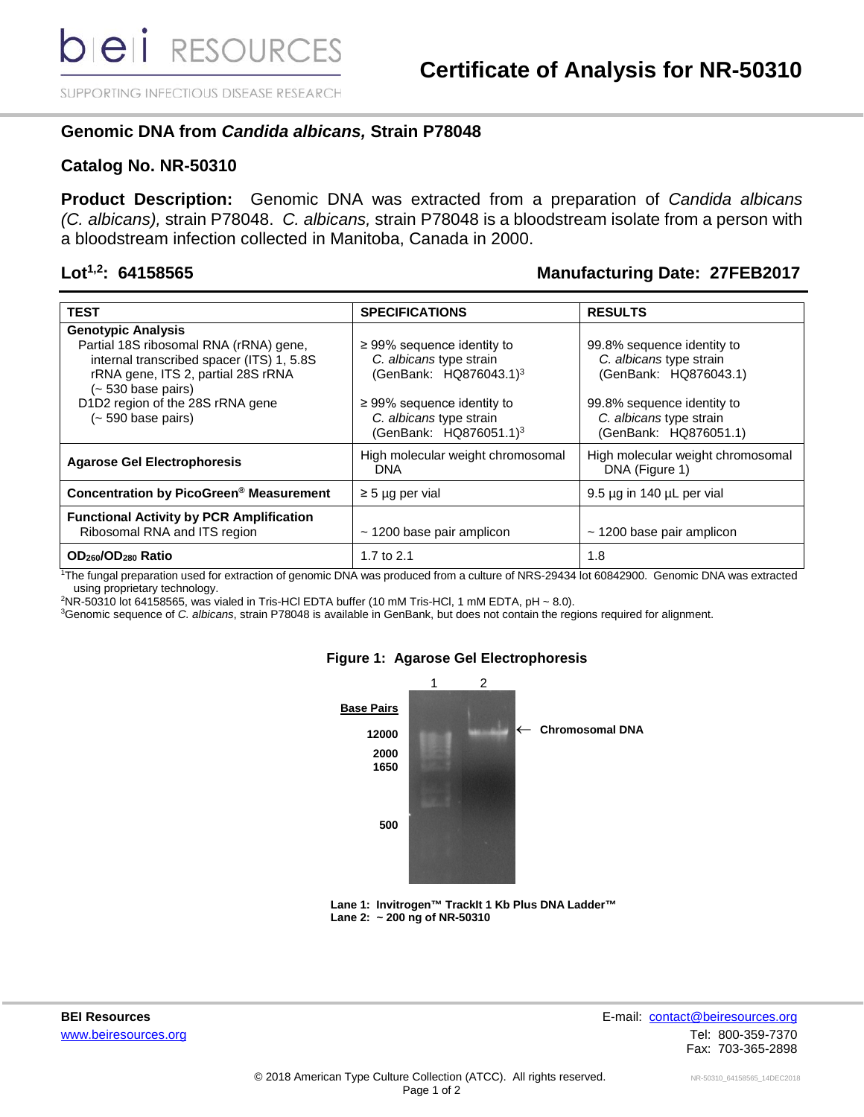SUPPORTING INFECTIOUS DISEASE RESEARCH

## **Genomic DNA from** *Candida albicans,* **Strain P78048**

### **Catalog No. NR-50310**

**Product Description:** Genomic DNA was extracted from a preparation of *Candida albicans (C. albicans),* strain P78048. *C. albicans,* strain P78048 is a bloodstream isolate from a person with a bloodstream infection collected in Manitoba, Canada in 2000.

### **Lot1,2: 64158565 Manufacturing Date: 27FEB2017**

| <b>TEST</b>                                                       | <b>SPECIFICATIONS</b>                           | <b>RESULTS</b>                                      |
|-------------------------------------------------------------------|-------------------------------------------------|-----------------------------------------------------|
| <b>Genotypic Analysis</b>                                         |                                                 |                                                     |
| Partial 18S ribosomal RNA (rRNA) gene,                            | $\geq$ 99% sequence identity to                 | 99.8% sequence identity to                          |
| internal transcribed spacer (ITS) 1, 5.8S                         | C. albicans type strain                         | C. albicans type strain                             |
| rRNA gene, ITS 2, partial 28S rRNA<br>$(-530 \text{ base pairs})$ | (GenBank: HQ876043.1) <sup>3</sup>              | (GenBank: HQ876043.1)                               |
| D1D2 region of the 28S rRNA gene                                  | $\geq$ 99% sequence identity to                 | 99.8% sequence identity to                          |
| $(-590 \text{ base pairs})$                                       | C. albicans type strain                         | C. albicans type strain                             |
|                                                                   | (GenBank: HQ876051.1) <sup>3</sup>              | (GenBank: HQ876051.1)                               |
| <b>Agarose Gel Electrophoresis</b>                                | High molecular weight chromosomal<br><b>DNA</b> | High molecular weight chromosomal<br>DNA (Figure 1) |
| <b>Concentration by PicoGreen® Measurement</b>                    | $\geq$ 5 µg per vial                            | 9.5 µg in 140 µL per vial                           |
| <b>Functional Activity by PCR Amplification</b>                   |                                                 |                                                     |
| Ribosomal RNA and ITS region                                      | $\sim$ 1200 base pair amplicon                  | $\sim$ 1200 base pair amplicon                      |
| OD <sub>260</sub> /OD <sub>280</sub> Ratio                        | 1.7 to 2.1                                      | 1.8                                                 |

1 The fungal preparation used for extraction of genomic DNA was produced from a culture of NRS-29434 lot 60842900. Genomic DNA was extracted using proprietary technology.

2 NR-50310 lot 64158565, was vialed in Tris-HCl EDTA buffer (10 mM Tris-HCl, 1 mM EDTA, pH ~ 8.0).

3 Genomic sequence of *C. albicans*, strain P78048 is available in GenBank, but does not contain the regions required for alignment.



#### **Figure 1: Agarose Gel Electrophoresis**

 **Lane 1: Invitrogen™ TrackIt 1 Kb Plus DNA Ladder™ Lane 2: ~ 200 ng of NR-50310**